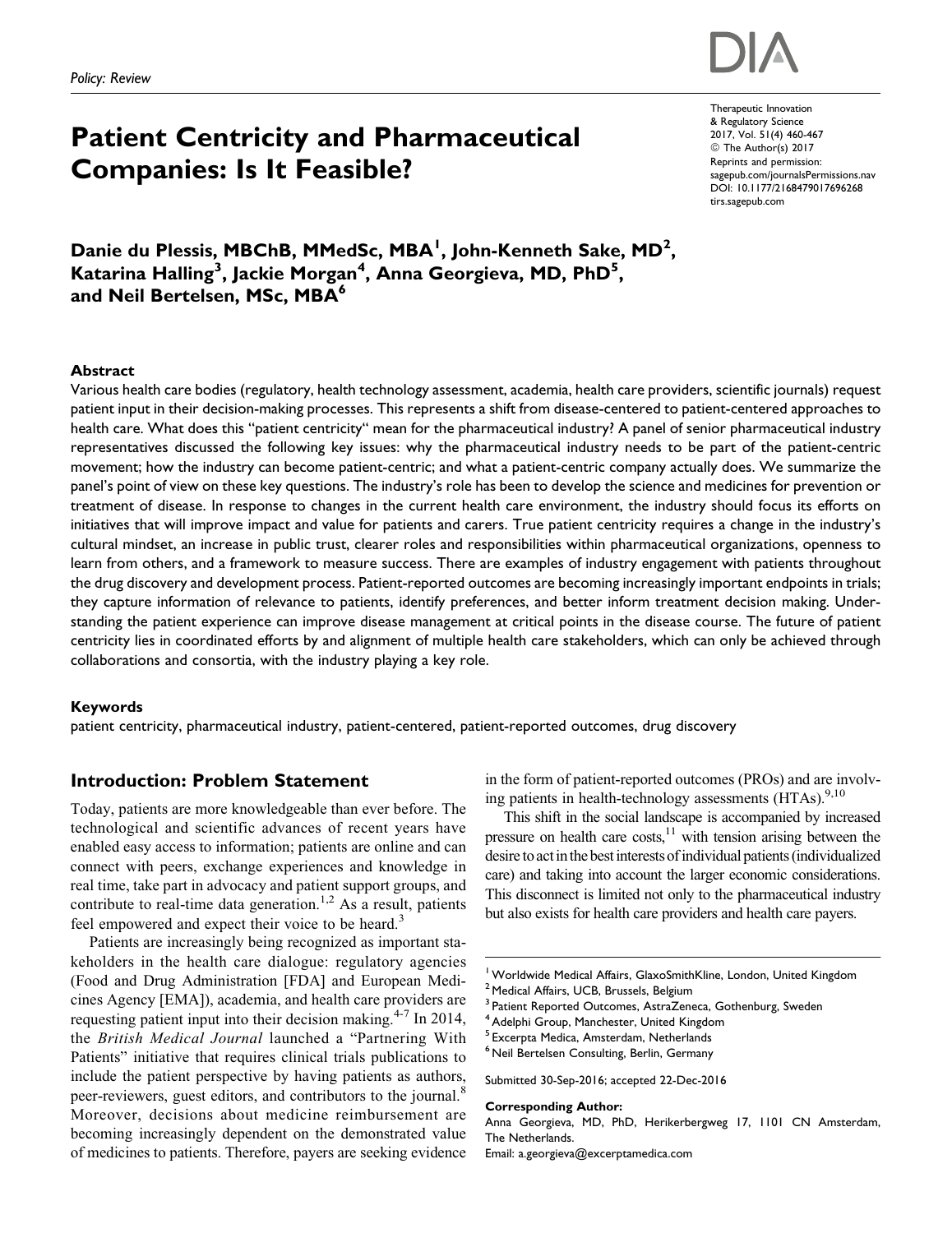# Patient Centricity and Pharmaceutical Companies: Is It Feasible?

Therapeutic Innovation & Regulatory Science 2017, Vol. 51(4) 460-467 © The Author(s) 2017 Reprints and permission: sagepub.com/journalsPermissions.nav DOI: 10.1177/2168479017696268 tirs.sagepub.com

Danie du Plessis, MBChB, MMedSc, MBA<sup>I</sup>, John-Kenneth Sake, MD<sup>2</sup>, Katarina Halling<sup>3</sup>, Jackie Morgan<sup>4</sup>, Anna Georgieva, MD, PhD<sup>5</sup>, and Neil Bertelsen, MSc, MBA<sup>6</sup>

#### Abstract

Various health care bodies (regulatory, health technology assessment, academia, health care providers, scientific journals) request patient input in their decision-making processes. This represents a shift from disease-centered to patient-centered approaches to health care. What does this "patient centricity" mean for the pharmaceutical industry? A panel of senior pharmaceutical industry representatives discussed the following key issues: why the pharmaceutical industry needs to be part of the patient-centric movement; how the industry can become patient-centric; and what a patient-centric company actually does. We summarize the panel's point of view on these key questions. The industry's role has been to develop the science and medicines for prevention or treatment of disease. In response to changes in the current health care environment, the industry should focus its efforts on initiatives that will improve impact and value for patients and carers. True patient centricity requires a change in the industry's cultural mindset, an increase in public trust, clearer roles and responsibilities within pharmaceutical organizations, openness to learn from others, and a framework to measure success. There are examples of industry engagement with patients throughout the drug discovery and development process. Patient-reported outcomes are becoming increasingly important endpoints in trials; they capture information of relevance to patients, identify preferences, and better inform treatment decision making. Understanding the patient experience can improve disease management at critical points in the disease course. The future of patient centricity lies in coordinated efforts by and alignment of multiple health care stakeholders, which can only be achieved through collaborations and consortia, with the industry playing a key role.

#### Keywords

patient centricity, pharmaceutical industry, patient-centered, patient-reported outcomes, drug discovery

# Introduction: Problem Statement

Today, patients are more knowledgeable than ever before. The technological and scientific advances of recent years have enabled easy access to information; patients are online and can connect with peers, exchange experiences and knowledge in real time, take part in advocacy and patient support groups, and contribute to real-time data generation.<sup>1,2</sup> As a result, patients feel empowered and expect their voice to be heard.<sup>3</sup>

Patients are increasingly being recognized as important stakeholders in the health care dialogue: regulatory agencies (Food and Drug Administration [FDA] and European Medicines Agency [EMA]), academia, and health care providers are requesting patient input into their decision making.<sup>4-7</sup> In 2014, the British Medical Journal launched a "Partnering With Patients" initiative that requires clinical trials publications to include the patient perspective by having patients as authors, peer-reviewers, guest editors, and contributors to the journal.<sup>8</sup> Moreover, decisions about medicine reimbursement are becoming increasingly dependent on the demonstrated value of medicines to patients. Therefore, payers are seeking evidence in the form of patient-reported outcomes (PROs) and are involving patients in health-technology assessments  $(HTAs)_{0,10}^{9,10}$ 

This shift in the social landscape is accompanied by increased pressure on health care costs, $11$  with tension arising between the desire to act in the best interests of individual patients (individualized care) and taking into account the larger economic considerations. This disconnect is limited not only to the pharmaceutical industry but also exists for health care providers and health care payers.

#### Corresponding Author:

Anna Georgieva, MD, PhD, Herikerbergweg 17, 1101 CN Amsterdam, The Netherlands.

Email: a.georgieva@excerptamedica.com



<sup>&</sup>lt;sup>1</sup> Worldwide Medical Affairs, GlaxoSmithKline, London, United Kingdom <sup>2</sup> Medical Affairs, UCB, Brussels, Belgium

<sup>3</sup> Patient Reported Outcomes, AstraZeneca, Gothenburg, Sweden

Adelphi Group, Manchester, United Kingdom

<sup>5</sup> Excerpta Medica, Amsterdam, Netherlands

<sup>&</sup>lt;sup>6</sup> Neil Bertelsen Consulting, Berlin, Germany

Submitted 30-Sep-2016; accepted 22-Dec-2016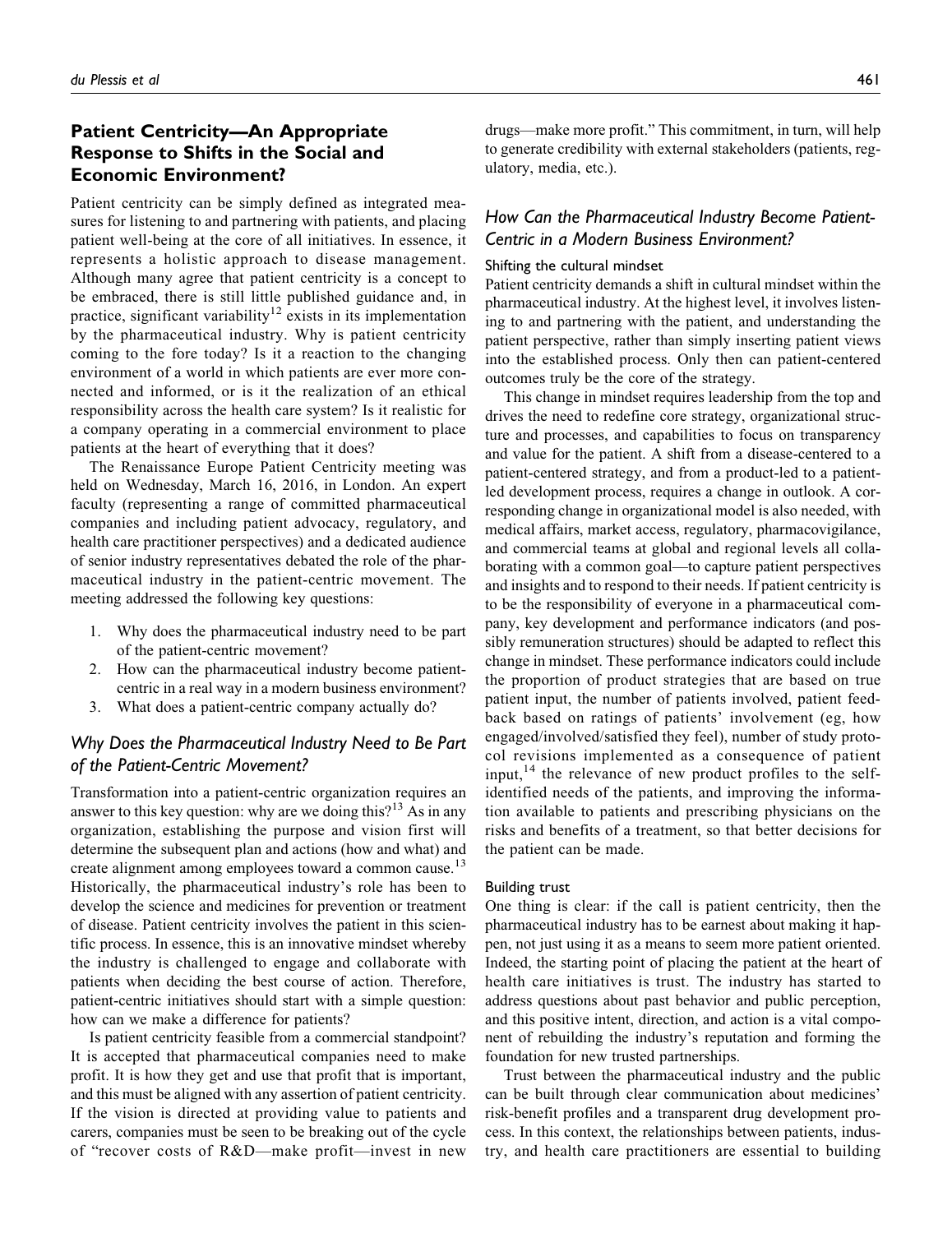# Patient Centricity—An Appropriate Response to Shifts in the Social and Economic Environment?

Patient centricity can be simply defined as integrated measures for listening to and partnering with patients, and placing patient well-being at the core of all initiatives. In essence, it represents a holistic approach to disease management. Although many agree that patient centricity is a concept to be embraced, there is still little published guidance and, in practice, significant variability<sup>12</sup> exists in its implementation by the pharmaceutical industry. Why is patient centricity coming to the fore today? Is it a reaction to the changing environment of a world in which patients are ever more connected and informed, or is it the realization of an ethical responsibility across the health care system? Is it realistic for a company operating in a commercial environment to place patients at the heart of everything that it does?

The Renaissance Europe Patient Centricity meeting was held on Wednesday, March 16, 2016, in London. An expert faculty (representing a range of committed pharmaceutical companies and including patient advocacy, regulatory, and health care practitioner perspectives) and a dedicated audience of senior industry representatives debated the role of the pharmaceutical industry in the patient-centric movement. The meeting addressed the following key questions:

- 1. Why does the pharmaceutical industry need to be part of the patient-centric movement?
- 2. How can the pharmaceutical industry become patientcentric in a real way in a modern business environment?
- 3. What does a patient-centric company actually do?

# Why Does the Pharmaceutical Industry Need to Be Part of the Patient-Centric Movement?

Transformation into a patient-centric organization requires an answer to this key question: why are we doing this?<sup>13</sup> As in any organization, establishing the purpose and vision first will determine the subsequent plan and actions (how and what) and create alignment among employees toward a common cause.<sup>13</sup> Historically, the pharmaceutical industry's role has been to develop the science and medicines for prevention or treatment of disease. Patient centricity involves the patient in this scientific process. In essence, this is an innovative mindset whereby the industry is challenged to engage and collaborate with patients when deciding the best course of action. Therefore, patient-centric initiatives should start with a simple question: how can we make a difference for patients?

Is patient centricity feasible from a commercial standpoint? It is accepted that pharmaceutical companies need to make profit. It is how they get and use that profit that is important, and this must be aligned with any assertion of patient centricity. If the vision is directed at providing value to patients and carers, companies must be seen to be breaking out of the cycle of "recover costs of R&D—make profit—invest in new drugs—make more profit." This commitment, in turn, will help to generate credibility with external stakeholders (patients, regulatory, media, etc.).

# How Can the Pharmaceutical Industry Become Patient-Centric in a Modern Business Environment?

#### Shifting the cultural mindset

Patient centricity demands a shift in cultural mindset within the pharmaceutical industry. At the highest level, it involves listening to and partnering with the patient, and understanding the patient perspective, rather than simply inserting patient views into the established process. Only then can patient-centered outcomes truly be the core of the strategy.

This change in mindset requires leadership from the top and drives the need to redefine core strategy, organizational structure and processes, and capabilities to focus on transparency and value for the patient. A shift from a disease-centered to a patient-centered strategy, and from a product-led to a patientled development process, requires a change in outlook. A corresponding change in organizational model is also needed, with medical affairs, market access, regulatory, pharmacovigilance, and commercial teams at global and regional levels all collaborating with a common goal—to capture patient perspectives and insights and to respond to their needs. If patient centricity is to be the responsibility of everyone in a pharmaceutical company, key development and performance indicators (and possibly remuneration structures) should be adapted to reflect this change in mindset. These performance indicators could include the proportion of product strategies that are based on true patient input, the number of patients involved, patient feedback based on ratings of patients' involvement (eg, how engaged/involved/satisfied they feel), number of study protocol revisions implemented as a consequence of patient input,  $14$  the relevance of new product profiles to the selfidentified needs of the patients, and improving the information available to patients and prescribing physicians on the risks and benefits of a treatment, so that better decisions for the patient can be made.

#### Building trust

One thing is clear: if the call is patient centricity, then the pharmaceutical industry has to be earnest about making it happen, not just using it as a means to seem more patient oriented. Indeed, the starting point of placing the patient at the heart of health care initiatives is trust. The industry has started to address questions about past behavior and public perception, and this positive intent, direction, and action is a vital component of rebuilding the industry's reputation and forming the foundation for new trusted partnerships.

Trust between the pharmaceutical industry and the public can be built through clear communication about medicines' risk-benefit profiles and a transparent drug development process. In this context, the relationships between patients, industry, and health care practitioners are essential to building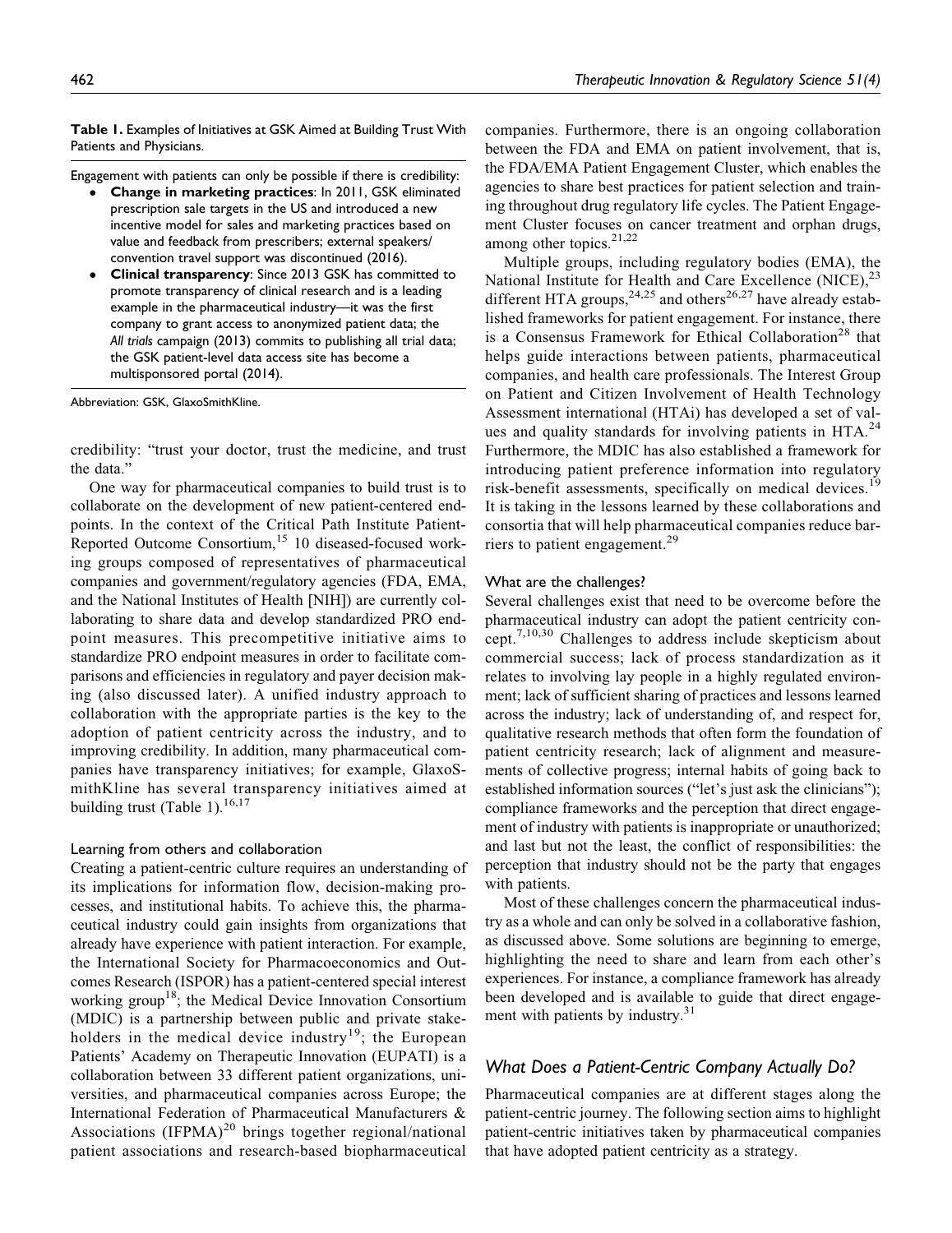Table 1. Examples of Initiatives at GSK Aimed at Building Trust With Patients and Physicians.

Engagement with patients can only be possible if there is credibility:

- - Change in marketing practices: In 2011, GSK eliminated prescription sale targets in the US and introduced a new incentive model for sales and marketing practices based on value and feedback from prescribers; external speakers/ convention travel support was discontinued (2016).
- - Clinical transparency: Since 2013 GSK has committed to promote transparency of clinical research and is a leading example in the pharmaceutical industry—it was the first company to grant access to anonymized patient data; the All trials campaign (2013) commits to publishing all trial data; the GSK patient-level data access site has become a multisponsored portal (2014).

Abbreviation: GSK, GlaxoSmithKline.

credibility: "trust your doctor, trust the medicine, and trust the data."

One way for pharmaceutical companies to build trust is to collaborate on the development of new patient-centered endpoints. In the context of the Critical Path Institute Patient-Reported Outcome Consortium,<sup>15</sup> 10 diseased-focused working groups composed of representatives of pharmaceutical companies and government/regulatory agencies (FDA, EMA, and the National Institutes of Health [NIH]) are currently collaborating to share data and develop standardized PRO endpoint measures. This precompetitive initiative aims to standardize PRO endpoint measures in order to facilitate comparisons and efficiencies in regulatory and payer decision making (also discussed later). A unified industry approach to collaboration with the appropriate parties is the key to the adoption of patient centricity across the industry, and to improving credibility. In addition, many pharmaceutical companies have transparency initiatives; for example, GlaxoSmithKline has several transparency initiatives aimed at building trust (Table 1).<sup>16,17</sup>

#### Learning from others and collaboration

Creating a patient-centric culture requires an understanding of its implications for information flow, decision-making processes, and institutional habits. To achieve this, the pharmaceutical industry could gain insights from organizations that already have experience with patient interaction. For example, the International Society for Pharmacoeconomics and Outcomes Research (ISPOR) has a patient-centered special interest working group<sup>18</sup>; the Medical Device Innovation Consortium (MDIC) is a partnership between public and private stakeholders in the medical device industry<sup>19</sup>; the European Patients' Academy on Therapeutic Innovation (EUPATI) is a collaboration between 33 different patient organizations, universities, and pharmaceutical companies across Europe; the International Federation of Pharmaceutical Manufacturers & Associations  $(IFPMA)^{20}$  brings together regional/national patient associations and research-based biopharmaceutical

companies. Furthermore, there is an ongoing collaboration between the FDA and EMA on patient involvement, that is, the FDA/EMA Patient Engagement Cluster, which enables the agencies to share best practices for patient selection and training throughout drug regulatory life cycles. The Patient Engagement Cluster focuses on cancer treatment and orphan drugs, among other topics.<sup>21,22</sup>

Multiple groups, including regulatory bodies (EMA), the National Institute for Health and Care Excellence (NICE),<sup>23</sup> different HTA groups,  $24,25$  and others<sup>26,27</sup> have already established frameworks for patient engagement. For instance, there is a Consensus Framework for Ethical Collaboration<sup>28</sup> that helps guide interactions between patients, pharmaceutical companies, and health care professionals. The Interest Group on Patient and Citizen Involvement of Health Technology Assessment international (HTAi) has developed a set of values and quality standards for involving patients in  $HTA<sup>24</sup>$ Furthermore, the MDIC has also established a framework for introducing patient preference information into regulatory risk-benefit assessments, specifically on medical devices.<sup>19</sup> It is taking in the lessons learned by these collaborations and consortia that will help pharmaceutical companies reduce barriers to patient engagement.<sup>29</sup>

#### What are the challenges?

Several challenges exist that need to be overcome before the pharmaceutical industry can adopt the patient centricity concept.7,10,30 Challenges to address include skepticism about commercial success; lack of process standardization as it relates to involving lay people in a highly regulated environment; lack of sufficient sharing of practices and lessons learned across the industry; lack of understanding of, and respect for, qualitative research methods that often form the foundation of patient centricity research; lack of alignment and measurements of collective progress; internal habits of going back to established information sources ("let's just ask the clinicians"); compliance frameworks and the perception that direct engagement of industry with patients is inappropriate or unauthorized; and last but not the least, the conflict of responsibilities: the perception that industry should not be the party that engages with patients.

Most of these challenges concern the pharmaceutical industry as a whole and can only be solved in a collaborative fashion, as discussed above. Some solutions are beginning to emerge, highlighting the need to share and learn from each other's experiences. For instance, a compliance framework has already been developed and is available to guide that direct engagement with patients by industry. $31$ 

# What Does a Patient-Centric Company Actually Do?

Pharmaceutical companies are at different stages along the patient-centric journey. The following section aims to highlight patient-centric initiatives taken by pharmaceutical companies that have adopted patient centricity as a strategy.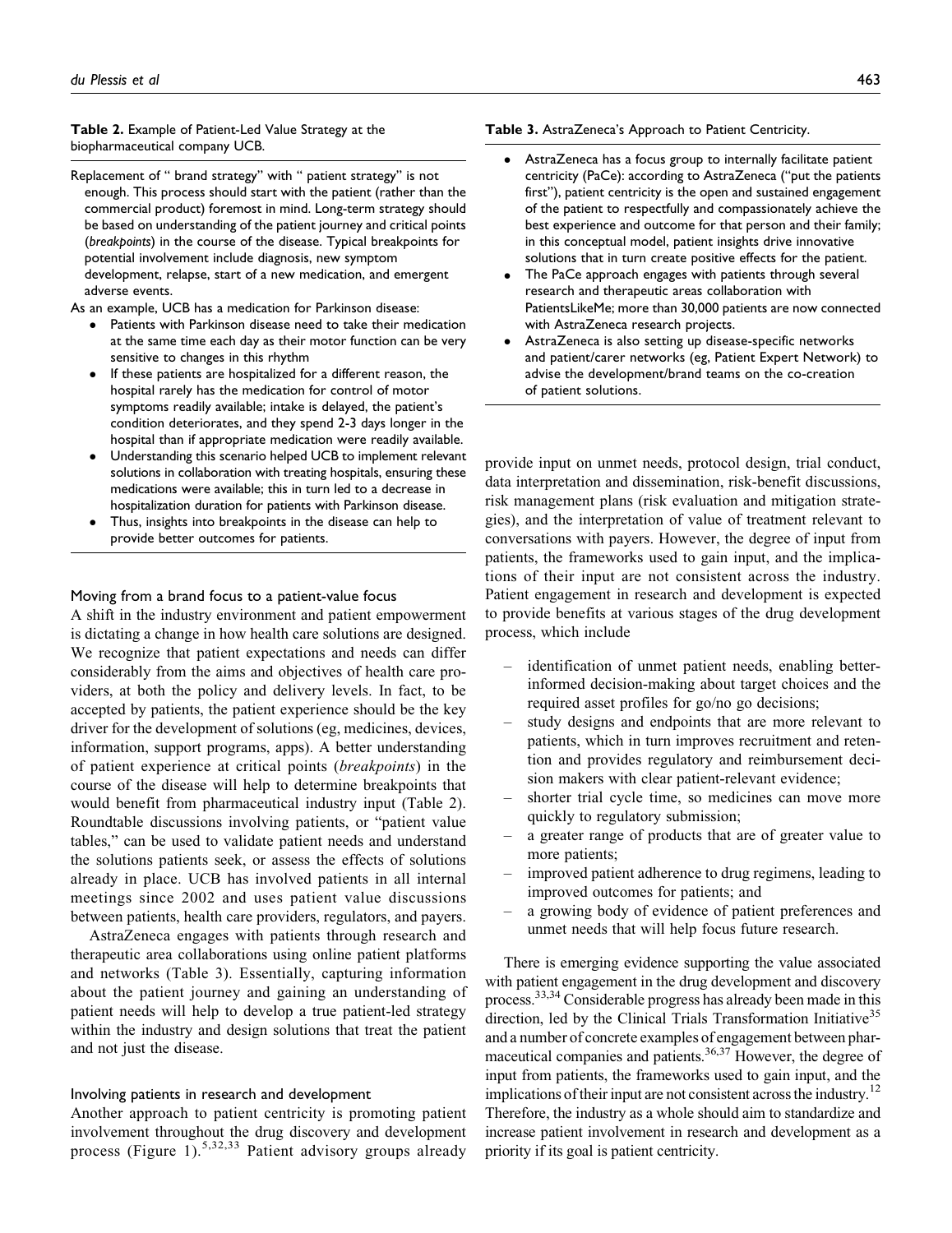#### Table 2. Example of Patient-Led Value Strategy at the biopharmaceutical company UCB.

Replacement of " brand strategy" with " patient strategy" is not enough. This process should start with the patient (rather than the commercial product) foremost in mind. Long-term strategy should be based on understanding of the patient journey and critical points (breakpoints) in the course of the disease. Typical breakpoints for potential involvement include diagnosis, new symptom development, relapse, start of a new medication, and emergent adverse events.

As an example, UCB has a medication for Parkinson disease:

- - Patients with Parkinson disease need to take their medication at the same time each day as their motor function can be very sensitive to changes in this rhythm
- - If these patients are hospitalized for a different reason, the hospital rarely has the medication for control of motor symptoms readily available; intake is delayed, the patient's condition deteriorates, and they spend 2-3 days longer in the hospital than if appropriate medication were readily available.
- - Understanding this scenario helped UCB to implement relevant solutions in collaboration with treating hospitals, ensuring these medications were available; this in turn led to a decrease in hospitalization duration for patients with Parkinson disease.
- - Thus, insights into breakpoints in the disease can help to provide better outcomes for patients.

#### Moving from a brand focus to a patient-value focus

A shift in the industry environment and patient empowerment is dictating a change in how health care solutions are designed. We recognize that patient expectations and needs can differ considerably from the aims and objectives of health care providers, at both the policy and delivery levels. In fact, to be accepted by patients, the patient experience should be the key driver for the development of solutions (eg, medicines, devices, information, support programs, apps). A better understanding of patient experience at critical points (breakpoints) in the course of the disease will help to determine breakpoints that would benefit from pharmaceutical industry input (Table 2). Roundtable discussions involving patients, or "patient value tables," can be used to validate patient needs and understand the solutions patients seek, or assess the effects of solutions already in place. UCB has involved patients in all internal meetings since 2002 and uses patient value discussions between patients, health care providers, regulators, and payers.

AstraZeneca engages with patients through research and therapeutic area collaborations using online patient platforms and networks (Table 3). Essentially, capturing information about the patient journey and gaining an understanding of patient needs will help to develop a true patient-led strategy within the industry and design solutions that treat the patient and not just the disease.

#### Involving patients in research and development

Another approach to patient centricity is promoting patient involvement throughout the drug discovery and development process (Figure 1).<sup>5,32,33</sup> Patient advisory groups already

#### Table 3. AstraZeneca's Approach to Patient Centricity.

- - AstraZeneca has a focus group to internally facilitate patient centricity (PaCe): according to AstraZeneca ("put the patients first"), patient centricity is the open and sustained engagement of the patient to respectfully and compassionately achieve the best experience and outcome for that person and their family; in this conceptual model, patient insights drive innovative solutions that in turn create positive effects for the patient.
- - The PaCe approach engages with patients through several research and therapeutic areas collaboration with PatientsLikeMe; more than 30,000 patients are now connected with AstraZeneca research projects.
- - AstraZeneca is also setting up disease-specific networks and patient/carer networks (eg, Patient Expert Network) to advise the development/brand teams on the co-creation of patient solutions.

provide input on unmet needs, protocol design, trial conduct, data interpretation and dissemination, risk-benefit discussions, risk management plans (risk evaluation and mitigation strategies), and the interpretation of value of treatment relevant to conversations with payers. However, the degree of input from patients, the frameworks used to gain input, and the implications of their input are not consistent across the industry. Patient engagement in research and development is expected to provide benefits at various stages of the drug development process, which include

- identification of unmet patient needs, enabling betterinformed decision-making about target choices and the required asset profiles for go/no go decisions;
- study designs and endpoints that are more relevant to patients, which in turn improves recruitment and retention and provides regulatory and reimbursement decision makers with clear patient-relevant evidence;
- shorter trial cycle time, so medicines can move more quickly to regulatory submission;
- a greater range of products that are of greater value to more patients;
- improved patient adherence to drug regimens, leading to improved outcomes for patients; and
- a growing body of evidence of patient preferences and unmet needs that will help focus future research.

There is emerging evidence supporting the value associated with patient engagement in the drug development and discovery process.33,34 Considerable progress has already been made in this direction, led by the Clinical Trials Transformation Initiative<sup>35</sup> and a number of concrete examples of engagement between pharmaceutical companies and patients.<sup>36,37</sup> However, the degree of input from patients, the frameworks used to gain input, and the implications of their input are not consistent across the industry.<sup>12</sup> Therefore, the industry as a whole should aim to standardize and increase patient involvement in research and development as a priority if its goal is patient centricity.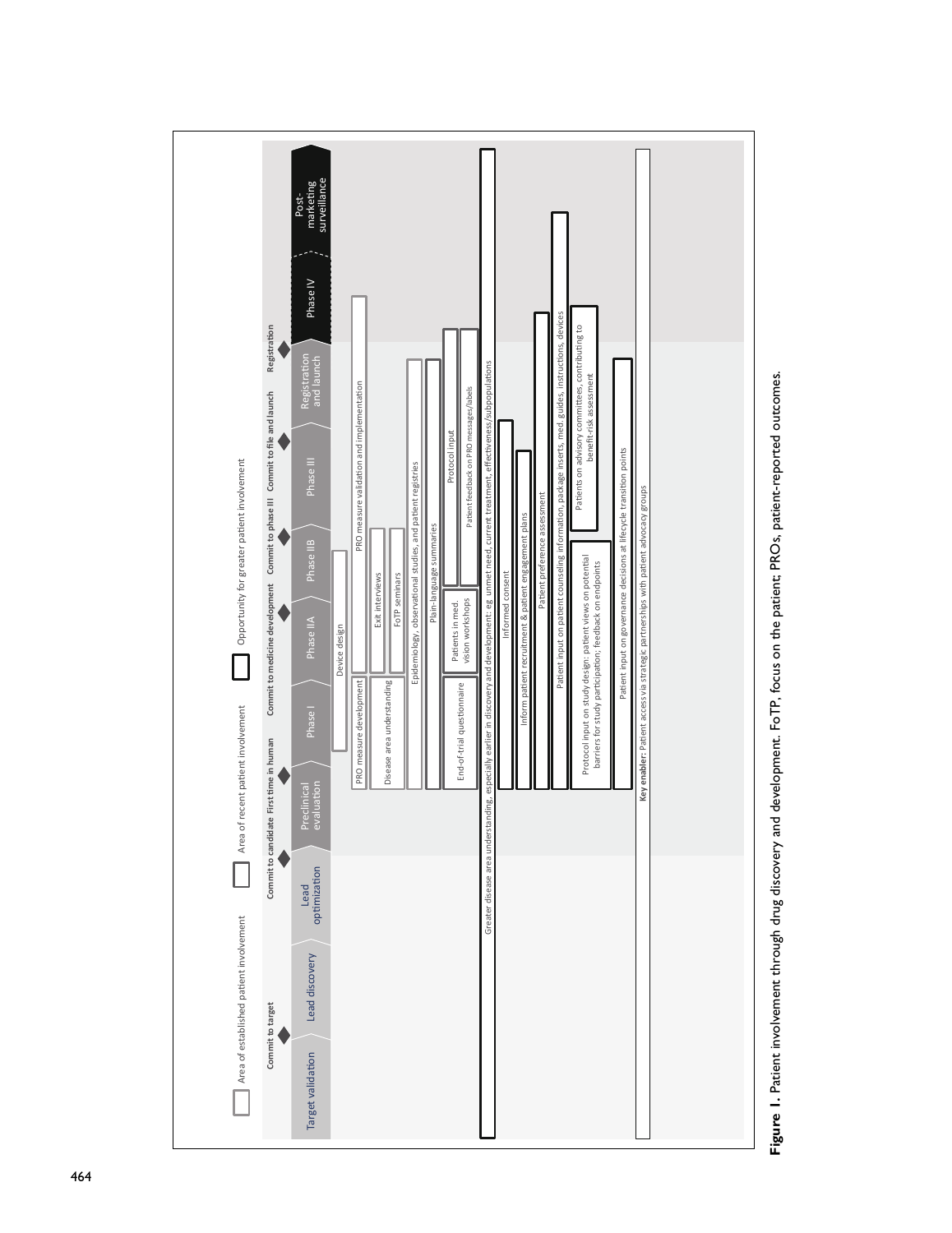

Figure 1. Patient involvement through drug discovery and development. FoTP, focus on the patient; PROs, patient-reported outcomes. Figure 1. Patient involvement through drug discovery and development. FoTP, focus on the patient; PROs, patient-reported outcomes.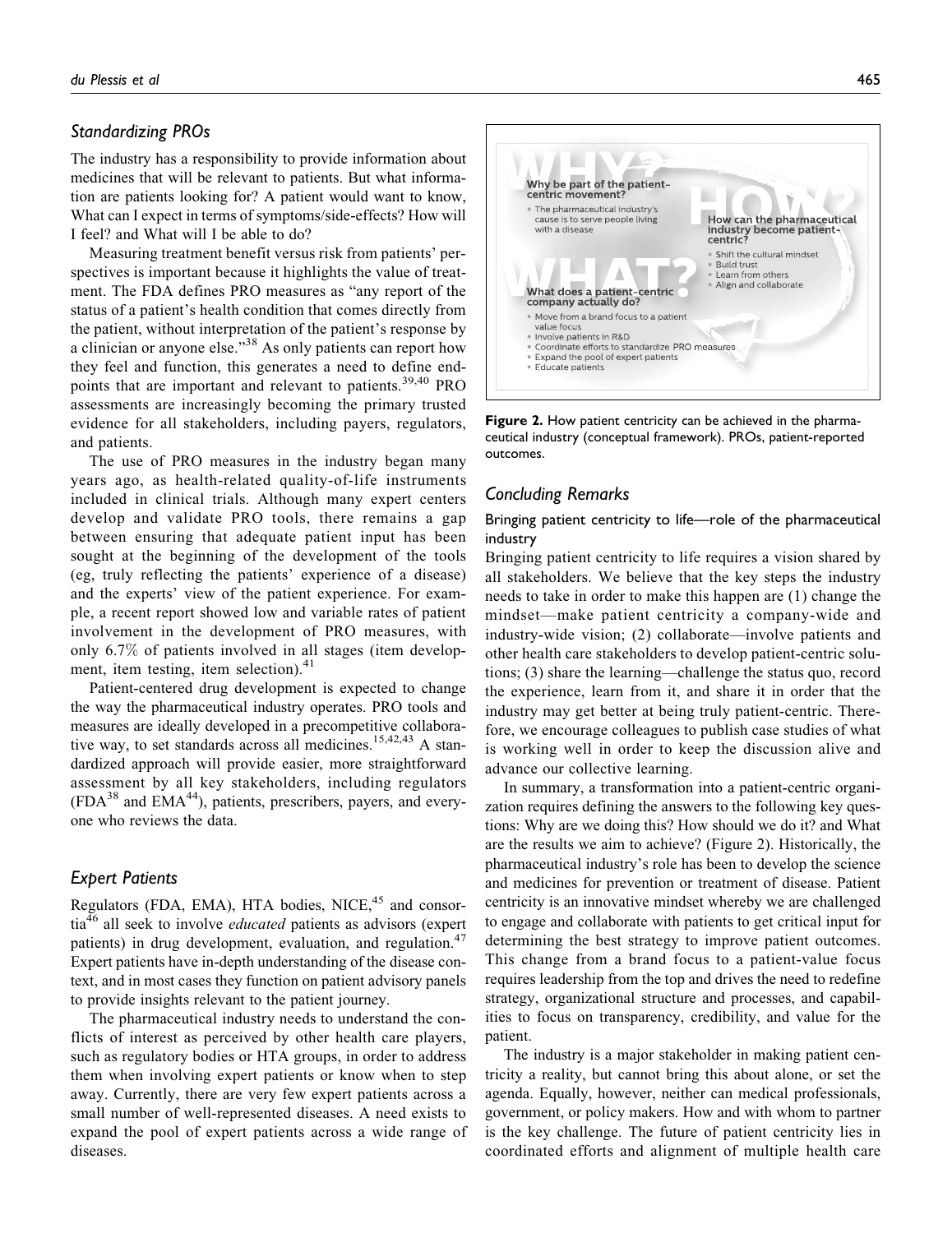## Standardizing PROs

The industry has a responsibility to provide information about medicines that will be relevant to patients. But what information are patients looking for? A patient would want to know, What can I expect in terms of symptoms/side-effects? How will I feel? and What will I be able to do?

Measuring treatment benefit versus risk from patients' perspectives is important because it highlights the value of treatment. The FDA defines PRO measures as "any report of the status of a patient's health condition that comes directly from the patient, without interpretation of the patient's response by a clinician or anyone else."<sup>38</sup> As only patients can report how they feel and function, this generates a need to define endpoints that are important and relevant to patients.39,40 PRO assessments are increasingly becoming the primary trusted evidence for all stakeholders, including payers, regulators, and patients.

The use of PRO measures in the industry began many years ago, as health-related quality-of-life instruments included in clinical trials. Although many expert centers develop and validate PRO tools, there remains a gap between ensuring that adequate patient input has been sought at the beginning of the development of the tools (eg, truly reflecting the patients' experience of a disease) and the experts' view of the patient experience. For example, a recent report showed low and variable rates of patient involvement in the development of PRO measures, with only 6.7% of patients involved in all stages (item development, item testing, item selection). $41$ 

Patient-centered drug development is expected to change the way the pharmaceutical industry operates. PRO tools and measures are ideally developed in a precompetitive collaborative way, to set standards across all medicines.<sup>15,42,43</sup> A standardized approach will provide easier, more straightforward assessment by all key stakeholders, including regulators  $(FDA<sup>38</sup>$  and EMA<sup>44</sup>), patients, prescribers, payers, and everyone who reviews the data.

# Expert Patients

Regulators (FDA, EMA), HTA bodies, NICE,<sup>45</sup> and consortia<sup>46</sup> all seek to involve *educated* patients as advisors (expert patients) in drug development, evaluation, and regulation.<sup>47</sup> Expert patients have in-depth understanding of the disease context, and in most cases they function on patient advisory panels to provide insights relevant to the patient journey.

The pharmaceutical industry needs to understand the conflicts of interest as perceived by other health care players, such as regulatory bodies or HTA groups, in order to address them when involving expert patients or know when to step away. Currently, there are very few expert patients across a small number of well-represented diseases. A need exists to expand the pool of expert patients across a wide range of diseases.



Figure 2. How patient centricity can be achieved in the pharmaceutical industry (conceptual framework). PROs, patient-reported outcomes.

# Concluding Remarks

Bringing patient centricity to life—role of the pharmaceutical industry

Bringing patient centricity to life requires a vision shared by all stakeholders. We believe that the key steps the industry needs to take in order to make this happen are (1) change the mindset—make patient centricity a company-wide and industry-wide vision; (2) collaborate—involve patients and other health care stakeholders to develop patient-centric solutions; (3) share the learning—challenge the status quo, record the experience, learn from it, and share it in order that the industry may get better at being truly patient-centric. Therefore, we encourage colleagues to publish case studies of what is working well in order to keep the discussion alive and advance our collective learning.

In summary, a transformation into a patient-centric organization requires defining the answers to the following key questions: Why are we doing this? How should we do it? and What are the results we aim to achieve? (Figure 2). Historically, the pharmaceutical industry's role has been to develop the science and medicines for prevention or treatment of disease. Patient centricity is an innovative mindset whereby we are challenged to engage and collaborate with patients to get critical input for determining the best strategy to improve patient outcomes. This change from a brand focus to a patient-value focus requires leadership from the top and drives the need to redefine strategy, organizational structure and processes, and capabilities to focus on transparency, credibility, and value for the patient.

The industry is a major stakeholder in making patient centricity a reality, but cannot bring this about alone, or set the agenda. Equally, however, neither can medical professionals, government, or policy makers. How and with whom to partner is the key challenge. The future of patient centricity lies in coordinated efforts and alignment of multiple health care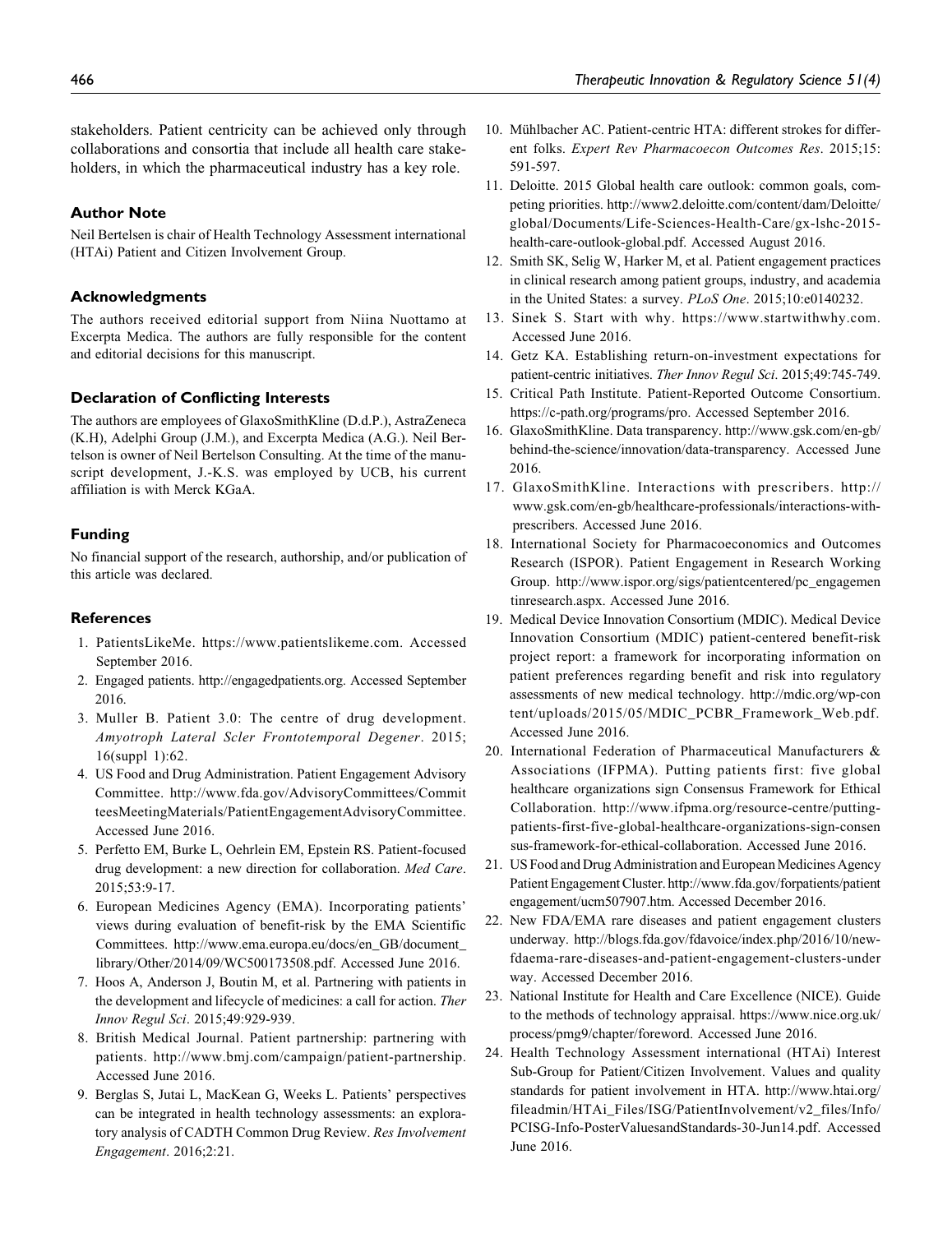stakeholders. Patient centricity can be achieved only through collaborations and consortia that include all health care stakeholders, in which the pharmaceutical industry has a key role.

## Author Note

Neil Bertelsen is chair of Health Technology Assessment international (HTAi) Patient and Citizen Involvement Group.

## Acknowledgments

The authors received editorial support from Niina Nuottamo at Excerpta Medica. The authors are fully responsible for the content and editorial decisions for this manuscript.

# Declaration of Conflicting Interests

The authors are employees of GlaxoSmithKline (D.d.P.), AstraZeneca (K.H), Adelphi Group (J.M.), and Excerpta Medica (A.G.). Neil Bertelson is owner of Neil Bertelson Consulting. At the time of the manuscript development, J.-K.S. was employed by UCB, his current affiliation is with Merck KGaA.

# Funding

No financial support of the research, authorship, and/or publication of this article was declared.

## References

- 1. PatientsLikeMe. https://www.patientslikeme.com. Accessed September 2016.
- 2. Engaged patients. http://engagedpatients.org. Accessed September 2016.
- 3. Muller B. Patient 3.0: The centre of drug development. Amyotroph Lateral Scler Frontotemporal Degener. 2015; 16(suppl 1):62.
- 4. US Food and Drug Administration. Patient Engagement Advisory Committee. http://www.fda.gov/AdvisoryCommittees/Commit teesMeetingMaterials/PatientEngagementAdvisoryCommittee. Accessed June 2016.
- 5. Perfetto EM, Burke L, Oehrlein EM, Epstein RS. Patient-focused drug development: a new direction for collaboration. Med Care. 2015;53:9-17.
- 6. European Medicines Agency (EMA). Incorporating patients' views during evaluation of benefit-risk by the EMA Scientific Committees. http://www.ema.europa.eu/docs/en\_GB/document\_ library/Other/2014/09/WC500173508.pdf. Accessed June 2016.
- 7. Hoos A, Anderson J, Boutin M, et al. Partnering with patients in the development and lifecycle of medicines: a call for action. Ther Innov Regul Sci. 2015;49:929-939.
- 8. British Medical Journal. Patient partnership: partnering with patients. http://www.bmj.com/campaign/patient-partnership. Accessed June 2016.
- 9. Berglas S, Jutai L, MacKean G, Weeks L. Patients' perspectives can be integrated in health technology assessments: an exploratory analysis of CADTH Common Drug Review. Res Involvement Engagement. 2016;2:21.
- 10. Mühlbacher AC. Patient-centric HTA: different strokes for different folks. Expert Rev Pharmacoecon Outcomes Res. 2015;15: 591-597.
- 11. Deloitte. 2015 Global health care outlook: common goals, competing priorities. http://www2.deloitte.com/content/dam/Deloitte/ global/Documents/Life-Sciences-Health-Care/gx-lshc-2015 health-care-outlook-global.pdf. Accessed August 2016.
- 12. Smith SK, Selig W, Harker M, et al. Patient engagement practices in clinical research among patient groups, industry, and academia in the United States: a survey. PLoS One. 2015;10:e0140232.
- 13. Sinek S. Start with why. https://www.startwithwhy.com. Accessed June 2016.
- 14. Getz KA. Establishing return-on-investment expectations for patient-centric initiatives. Ther Innov Regul Sci. 2015;49:745-749.
- 15. Critical Path Institute. Patient-Reported Outcome Consortium. https://c-path.org/programs/pro. Accessed September 2016.
- 16. GlaxoSmithKline. Data transparency. http://www.gsk.com/en-gb/ behind-the-science/innovation/data-transparency. Accessed June 2016.
- 17. GlaxoSmithKline. Interactions with prescribers. http:// www.gsk.com/en-gb/healthcare-professionals/interactions-withprescribers. Accessed June 2016.
- 18. International Society for Pharmacoeconomics and Outcomes Research (ISPOR). Patient Engagement in Research Working Group. http://www.ispor.org/sigs/patientcentered/pc\_engagemen tinresearch.aspx. Accessed June 2016.
- 19. Medical Device Innovation Consortium (MDIC). Medical Device Innovation Consortium (MDIC) patient-centered benefit-risk project report: a framework for incorporating information on patient preferences regarding benefit and risk into regulatory assessments of new medical technology. http://mdic.org/wp-con tent/uploads/2015/05/MDIC\_PCBR\_Framework\_Web.pdf. Accessed June 2016.
- 20. International Federation of Pharmaceutical Manufacturers & Associations (IFPMA). Putting patients first: five global healthcare organizations sign Consensus Framework for Ethical Collaboration. http://www.ifpma.org/resource-centre/puttingpatients-first-five-global-healthcare-organizations-sign-consen sus-framework-for-ethical-collaboration. Accessed June 2016.
- 21. US Food and Drug Administration and European Medicines Agency Patient Engagement Cluster. http://www.fda.gov/forpatients/patient engagement/ucm507907.htm. Accessed December 2016.
- 22. New FDA/EMA rare diseases and patient engagement clusters underway. http://blogs.fda.gov/fdavoice/index.php/2016/10/newfdaema-rare-diseases-and-patient-engagement-clusters-under way. Accessed December 2016.
- 23. National Institute for Health and Care Excellence (NICE). Guide to the methods of technology appraisal. https://www.nice.org.uk/ process/pmg9/chapter/foreword. Accessed June 2016.
- 24. Health Technology Assessment international (HTAi) Interest Sub-Group for Patient/Citizen Involvement. Values and quality standards for patient involvement in HTA. http://www.htai.org/ fileadmin/HTAi\_Files/ISG/PatientInvolvement/v2\_files/Info/ PCISG-Info-PosterValuesandStandards-30-Jun14.pdf. Accessed June 2016.